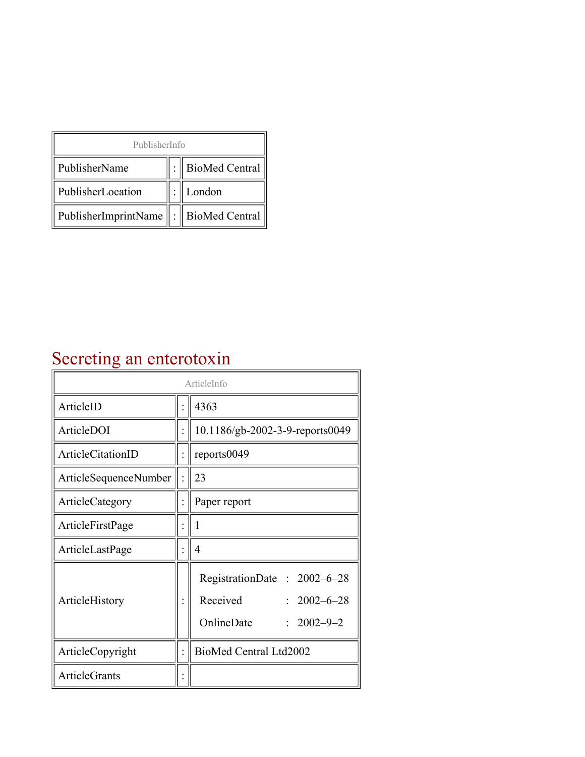| PublisherInfo                                   |  |                    |  |  |
|-------------------------------------------------|--|--------------------|--|--|
| PublisherName                                   |  | :   BioMed Central |  |  |
| PublisherLocation                               |  | London             |  |  |
| PublisherImprintName $\ \cdot\ $ BioMed Central |  |                    |  |  |

## Secreting an enterotoxin

| ArticleInfo                  |  |                                                                                                |  |
|------------------------------|--|------------------------------------------------------------------------------------------------|--|
| ArticleID                    |  | 4363                                                                                           |  |
| ArticleDOI                   |  | 10.1186/gb-2002-3-9-reports0049                                                                |  |
| <b>ArticleCitationID</b>     |  | reports0049                                                                                    |  |
| <b>ArticleSequenceNumber</b> |  | 23                                                                                             |  |
| ArticleCategory              |  | Paper report                                                                                   |  |
| ArticleFirstPage             |  |                                                                                                |  |
| ArticleLastPage              |  | $\overline{4}$                                                                                 |  |
| ArticleHistory               |  | RegistrationDate: 2002-6-28<br>Received<br>$: 2002 - 6 - 28$<br>OnlineDate<br>$: 2002 - 9 - 2$ |  |
| ArticleCopyright             |  | BioMed Central Ltd2002                                                                         |  |
| <b>ArticleGrants</b>         |  |                                                                                                |  |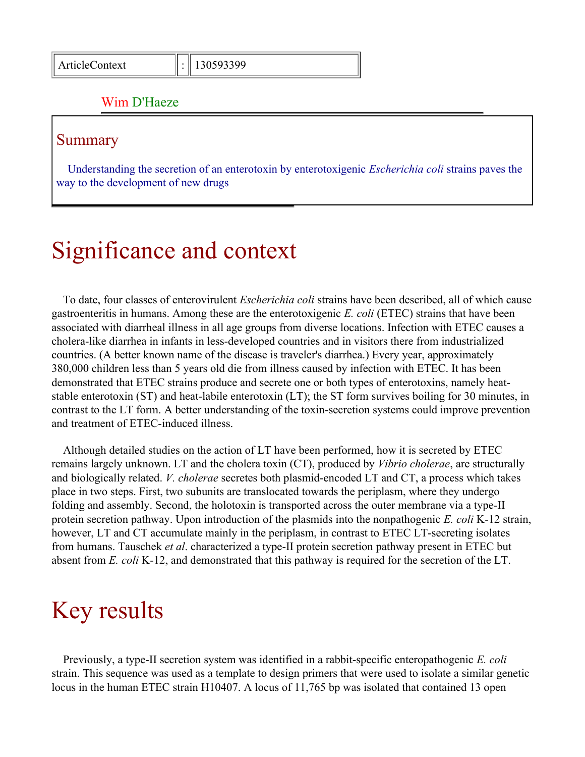#### Wim D'Haeze

### Summary

Understanding the secretion of an enterotoxin by enterotoxigenic *Escherichia coli* strains paves the way to the development of new drugs

# Significance and context

To date, four classes of enterovirulent *Escherichia coli* strains have been described, all of which cause gastroenteritis in humans. Among these are the enterotoxigenic *E. coli* (ETEC) strains that have been associated with diarrheal illness in all age groups from diverse locations. Infection with ETEC causes a cholera-like diarrhea in infants in less-developed countries and in visitors there from industrialized countries. (A better known name of the disease is traveler's diarrhea.) Every year, approximately 380,000 children less than 5 years old die from illness caused by infection with ETEC. It has been demonstrated that ETEC strains produce and secrete one or both types of enterotoxins, namely heatstable enterotoxin (ST) and heat-labile enterotoxin (LT); the ST form survives boiling for 30 minutes, in contrast to the LT form. A better understanding of the toxin-secretion systems could improve prevention and treatment of ETEC-induced illness.

Although detailed studies on the action of LT have been performed, how it is secreted by ETEC remains largely unknown. LT and the cholera toxin (CT), produced by *Vibrio cholerae*, are structurally and biologically related. *V. cholerae* secretes both plasmid-encoded LT and CT, a process which takes place in two steps. First, two subunits are translocated towards the periplasm, where they undergo folding and assembly. Second, the holotoxin is transported across the outer membrane via a type-II protein secretion pathway. Upon introduction of the plasmids into the nonpathogenic *E. coli* K-12 strain, however, LT and CT accumulate mainly in the periplasm, in contrast to ETEC LT-secreting isolates from humans. Tauschek *et al*. characterized a type-II protein secretion pathway present in ETEC but absent from *E. coli* K-12, and demonstrated that this pathway is required for the secretion of the LT.

## Key results

Previously, a type-II secretion system was identified in a rabbit-specific enteropathogenic *E. coli* strain. This sequence was used as a template to design primers that were used to isolate a similar genetic locus in the human ETEC strain H10407. A locus of 11,765 bp was isolated that contained 13 open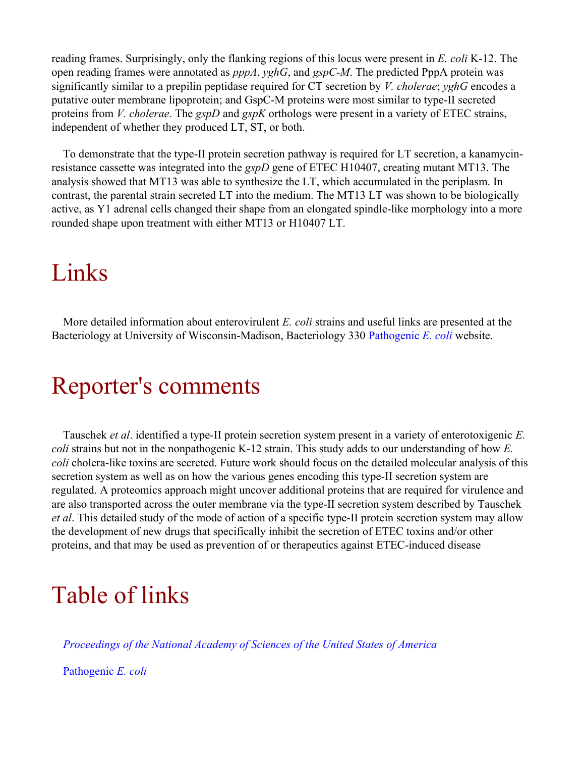reading frames. Surprisingly, only the flanking regions of this locus were present in *E. coli* K-12. The open reading frames were annotated as *pppA*, *yghG*, and *gspC-M*. The predicted PppA protein was significantly similar to a prepilin peptidase required for CT secretion by *V. cholerae*; *yghG* encodes a putative outer membrane lipoprotein; and GspC-M proteins were most similar to type-II secreted proteins from *V. cholerae*. The *gspD* and *gspK* orthologs were present in a variety of ETEC strains, independent of whether they produced LT, ST, or both.

To demonstrate that the type-II protein secretion pathway is required for LT secretion, a kanamycinresistance cassette was integrated into the *gspD* gene of ETEC H10407, creating mutant MT13. The analysis showed that MT13 was able to synthesize the LT, which accumulated in the periplasm. In contrast, the parental strain secreted LT into the medium. The MT13 LT was shown to be biologically active, as Y1 adrenal cells changed their shape from an elongated spindle-like morphology into a more rounded shape upon treatment with either MT13 or H10407 LT.

# Links

More detailed information about enterovirulent *E. coli* strains and useful links are presented at the Bacteriology at University of Wisconsin-Madison, Bacteriology 330 [Pathogenic](http://www.bact.wisc.edu/Bact330/lectureecoli) *E. coli* website.

## Reporter's comments

Tauschek *et al*. identified a type-II protein secretion system present in a variety of enterotoxigenic *E. coli* strains but not in the nonpathogenic K-12 strain. This study adds to our understanding of how *E. coli* cholera-like toxins are secreted. Future work should focus on the detailed molecular analysis of this secretion system as well as on how the various genes encoding this type-II secretion system are regulated. A proteomics approach might uncover additional proteins that are required for virulence and are also transported across the outer membrane via the type-II secretion system described by Tauschek *et al*. This detailed study of the mode of action of a specific type-II protein secretion system may allow the development of new drugs that specifically inhibit the secretion of ETEC toxins and/or other proteins, and that may be used as prevention of or therapeutics against ETEC-induced disease

# Table of links

*[Proceedings of the National Academy of Sciences of the United States of America](http://www.pnas.org/)*

[Pathogenic](http://www.bact.wisc.edu/Bact330/lectureecoli) *E. coli*